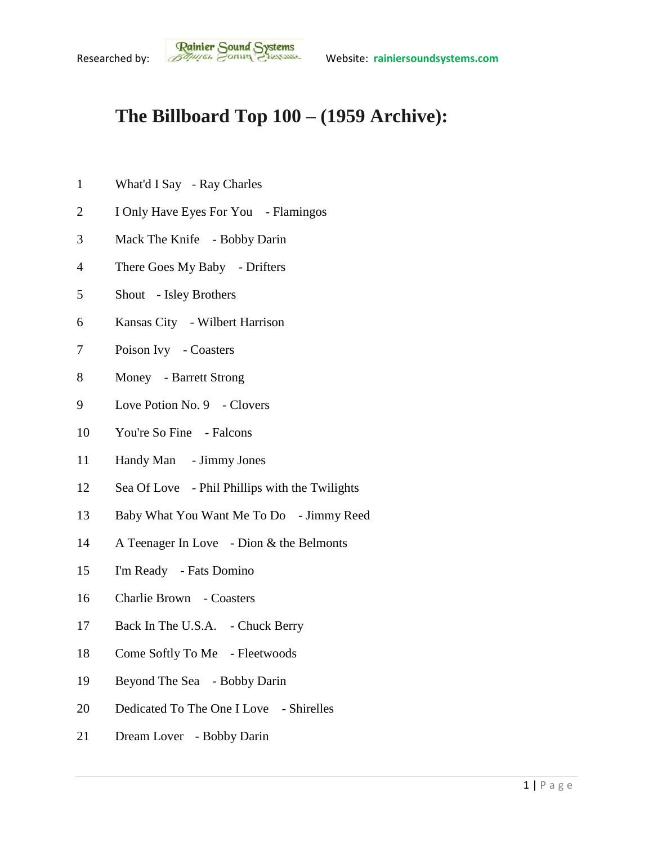## **The Billboard Top 100 – (1959 Archive):**

- What'd I Say Ray Charles
- I Only Have Eyes For You Flamingos
- Mack The Knife Bobby Darin
- There Goes My Baby Drifters
- Shout Isley Brothers
- Kansas City Wilbert Harrison
- Poison Ivy Coasters
- Money Barrett Strong
- 9 Love Potion No. 9 Clovers
- You're So Fine Falcons
- Handy Man Jimmy Jones
- Sea Of Love Phil Phillips with the Twilights
- Baby What You Want Me To Do Jimmy Reed
- A Teenager In Love Dion & the Belmonts
- I'm Ready Fats Domino
- Charlie Brown Coasters
- Back In The U.S.A. Chuck Berry
- Come Softly To Me Fleetwoods
- Beyond The Sea Bobby Darin
- 20 Dedicated To The One I Love Shirelles
- Dream Lover Bobby Darin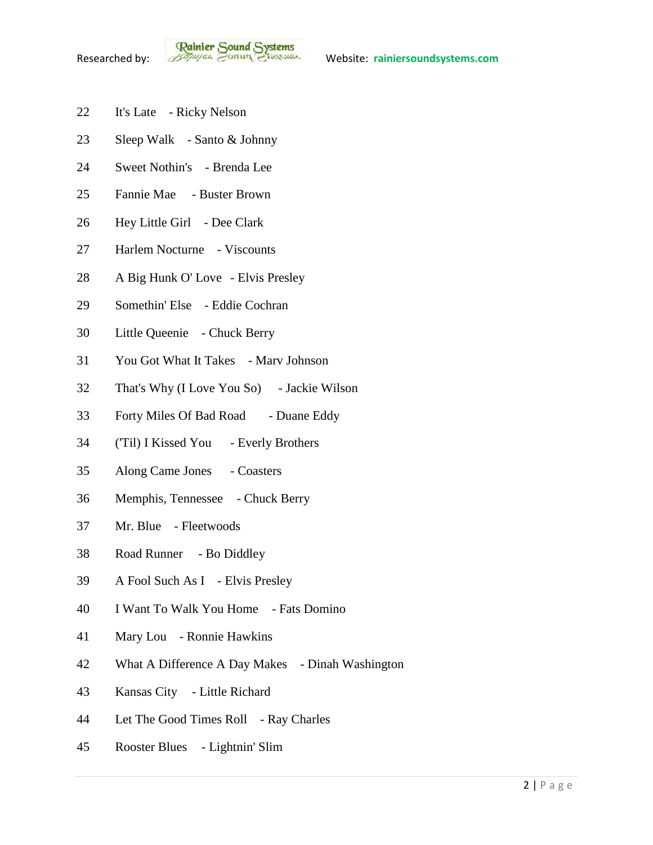- It's Late Ricky Nelson
- Sleep Walk Santo & Johnny
- Sweet Nothin's Brenda Lee
- Fannie Mae Buster Brown
- Hey Little Girl Dee Clark
- Harlem Nocturne Viscounts
- A Big Hunk O' Love Elvis Presley
- Somethin' Else Eddie Cochran
- Little Queenie Chuck Berry
- You Got What It Takes Marv Johnson
- That's Why (I Love You So) Jackie Wilson
- Forty Miles Of Bad Road Duane Eddy
- ('Til) I Kissed You Everly Brothers
- Along Came Jones Coasters
- Memphis, Tennessee Chuck Berry
- Mr. Blue Fleetwoods
- Road Runner Bo Diddley
- A Fool Such As I Elvis Presley
- I Want To Walk You Home Fats Domino
- Mary Lou Ronnie Hawkins
- What A Difference A Day Makes Dinah Washington
- Kansas City Little Richard
- Let The Good Times Roll Ray Charles
- Rooster Blues Lightnin' Slim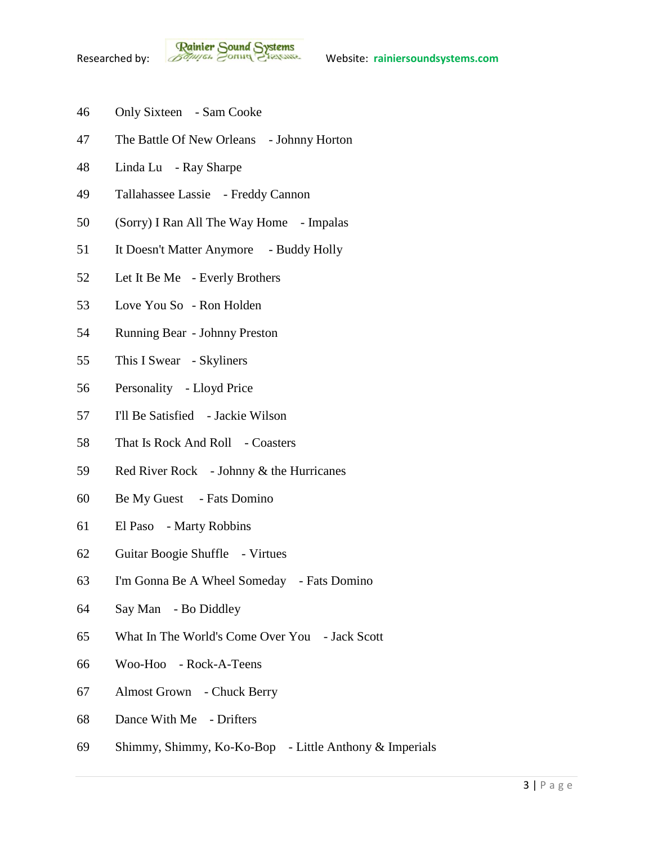- Only Sixteen Sam Cooke
- The Battle Of New Orleans Johnny Horton
- Linda Lu Ray Sharpe
- Tallahassee Lassie Freddy Cannon
- (Sorry) I Ran All The Way Home Impalas
- It Doesn't Matter Anymore Buddy Holly
- Let It Be Me Everly Brothers
- Love You So Ron Holden
- Running Bear Johnny Preston
- This I Swear Skyliners
- Personality Lloyd Price
- I'll Be Satisfied Jackie Wilson
- 58 That Is Rock And Roll Coasters
- Red River Rock Johnny & the Hurricanes
- Be My Guest Fats Domino
- El Paso Marty Robbins
- Guitar Boogie Shuffle Virtues
- I'm Gonna Be A Wheel Someday Fats Domino
- Say Man Bo Diddley
- What In The World's Come Over You Jack Scott
- Woo-Hoo Rock-A-Teens
- Almost Grown Chuck Berry
- Dance With Me Drifters
- Shimmy, Shimmy, Ko-Ko-Bop Little Anthony & Imperials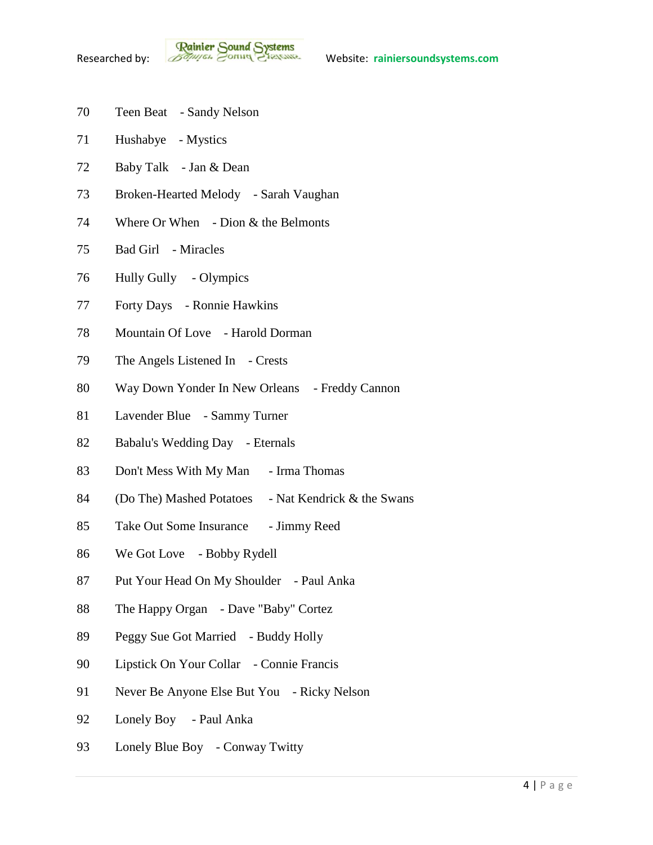- Teen Beat Sandy Nelson
- Hushabye Mystics
- Baby Talk Jan & Dean
- Broken-Hearted Melody Sarah Vaughan
- 74 Where Or When Dion & the Belmonts
- Bad Girl Miracles
- Hully Gully Olympics
- Forty Days Ronnie Hawkins
- Mountain Of Love Harold Dorman
- The Angels Listened In Crests
- 80 Way Down Yonder In New Orleans Freddy Cannon
- Lavender Blue Sammy Turner
- Babalu's Wedding Day Eternals
- Don't Mess With My Man Irma Thomas
- 84 (Do The) Mashed Potatoes Nat Kendrick & the Swans
- 85 Take Out Some Insurance Jimmy Reed
- We Got Love Bobby Rydell
- 87 Put Your Head On My Shoulder Paul Anka
- The Happy Organ Dave "Baby" Cortez
- Peggy Sue Got Married Buddy Holly
- Lipstick On Your Collar Connie Francis
- 91 Never Be Anyone Else But You Ricky Nelson
- Lonely Boy Paul Anka
- Lonely Blue Boy Conway Twitty